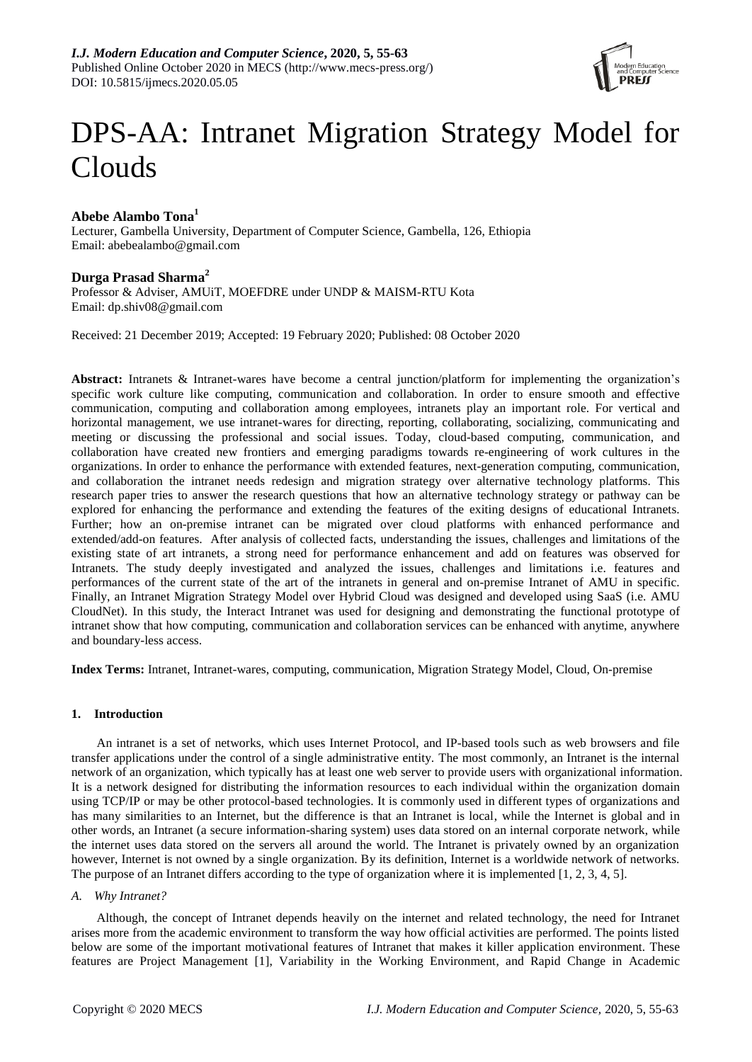

# DPS-AA: Intranet Migration Strategy Model for Clouds

# **Abebe Alambo Tona<sup>1</sup>**

Lecturer, Gambella University, Department of Computer Science, Gambella, 126, Ethiopia Email: abebealambo@gmail.com

## **Durga Prasad Sharma<sup>2</sup>**

Professor & Adviser, AMUiT, MOEFDRE under UNDP & MAISM-RTU Kota Email: dp.shiv08@gmail.com

Received: 21 December 2019; Accepted: 19 February 2020; Published: 08 October 2020

**Abstract:** Intranets & Intranet-wares have become a central junction/platform for implementing the organization's specific work culture like computing, communication and collaboration. In order to ensure smooth and effective communication, computing and collaboration among employees, intranets play an important role. For vertical and horizontal management, we use intranet-wares for directing, reporting, collaborating, socializing, communicating and meeting or discussing the professional and social issues. Today, cloud-based computing, communication, and collaboration have created new frontiers and emerging paradigms towards re-engineering of work cultures in the organizations. In order to enhance the performance with extended features, next-generation computing, communication, and collaboration the intranet needs redesign and migration strategy over alternative technology platforms. This research paper tries to answer the research questions that how an alternative technology strategy or pathway can be explored for enhancing the performance and extending the features of the exiting designs of educational Intranets. Further; how an on-premise intranet can be migrated over cloud platforms with enhanced performance and extended/add-on features. After analysis of collected facts, understanding the issues, challenges and limitations of the existing state of art intranets, a strong need for performance enhancement and add on features was observed for Intranets. The study deeply investigated and analyzed the issues, challenges and limitations i.e. features and performances of the current state of the art of the intranets in general and on-premise Intranet of AMU in specific. Finally, an Intranet Migration Strategy Model over Hybrid Cloud was designed and developed using SaaS (i.e. AMU CloudNet). In this study, the Interact Intranet was used for designing and demonstrating the functional prototype of intranet show that how computing, communication and collaboration services can be enhanced with anytime, anywhere and boundary-less access.

**Index Terms:** Intranet, Intranet-wares, computing, communication, Migration Strategy Model, Cloud, On-premise

## **1. Introduction**

An intranet is a set of networks, which uses Internet Protocol, and IP-based tools such as web browsers and file transfer applications under the control of a single administrative entity. The most commonly, an Intranet is the internal network of an organization, which typically has at least one web server to provide users with organizational information. It is a network designed for distributing the information resources to each individual within the organization domain using TCP/IP or may be other protocol-based technologies. It is commonly used in different types of organizations and has many similarities to an Internet, but the difference is that an Intranet is local, while the Internet is global and in other words, an Intranet (a secure information-sharing system) uses data stored on an internal corporate network, while the internet uses data stored on the servers all around the world. The Intranet is privately owned by an organization however, Internet is not owned by a single organization. By its definition, Internet is a worldwide network of networks. The purpose of an Intranet differs according to the type of organization where it is implemented [1, 2, 3, 4, 5].

#### *A. Why Intranet?*

Although, the concept of Intranet depends heavily on the internet and related technology, the need for Intranet arises more from the academic environment to transform the way how official activities are performed. The points listed below are some of the important motivational features of Intranet that makes it killer application environment. These features are Project Management [1], Variability in the Working Environment, and Rapid Change in Academic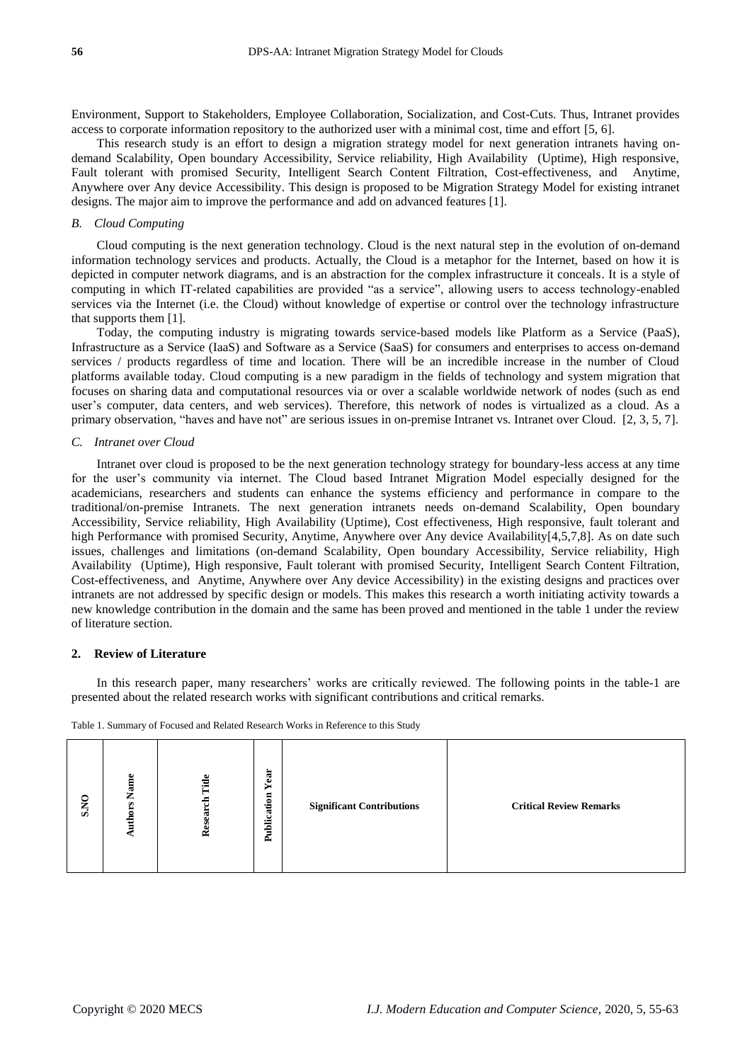Environment, Support to Stakeholders, Employee Collaboration, Socialization, and Cost-Cuts. Thus, Intranet provides access to corporate information repository to the authorized user with a minimal cost, time and effort [5, 6].

This research study is an effort to design a migration strategy model for next generation intranets having ondemand Scalability, Open boundary Accessibility, Service reliability, High Availability (Uptime), High responsive, Fault tolerant with promised Security, Intelligent Search Content Filtration, Cost-effectiveness, and Anytime, Anywhere over Any device Accessibility. This design is proposed to be Migration Strategy Model for existing intranet designs. The major aim to improve the performance and add on advanced features [1].

## *B. Cloud Computing*

Cloud computing is the next generation technology. Cloud is the next natural step in the evolution of on-demand information technology services and products. Actually, the Cloud is a metaphor for the Internet, based on how it is depicted in computer network diagrams, and is an abstraction for the complex infrastructure it conceals. It is a style of computing in which IT-related capabilities are provided "as a service", allowing users to access technology-enabled services via the Internet (i.e. the Cloud) without knowledge of expertise or control over the technology infrastructure that supports them [1].

Today, the computing industry is migrating towards service-based models like Platform as a Service (PaaS), Infrastructure as a Service (IaaS) and Software as a Service (SaaS) for consumers and enterprises to access on-demand services / products regardless of time and location. There will be an incredible increase in the number of Cloud platforms available today. Cloud computing is a new paradigm in the fields of technology and system migration that focuses on sharing data and computational resources via or over a scalable worldwide network of nodes (such as end user's computer, data centers, and web services). Therefore, this network of nodes is virtualized as a cloud. As a primary observation, "haves and have not" are serious issues in on-premise Intranet vs. Intranet over Cloud. [2, 3, 5, 7].

#### *C. Intranet over Cloud*

Intranet over cloud is proposed to be the next generation technology strategy for boundary-less access at any time for the user's community via internet. The Cloud based Intranet Migration Model especially designed for the academicians, researchers and students can enhance the systems efficiency and performance in compare to the traditional/on-premise Intranets. The next generation intranets needs on-demand Scalability, Open boundary Accessibility, Service reliability, High Availability (Uptime), Cost effectiveness, High responsive, fault tolerant and high Performance with promised Security, Anytime, Anywhere over Any device Availability[4,5,7,8]. As on date such issues, challenges and limitations (on-demand Scalability, Open boundary Accessibility, Service reliability, High Availability (Uptime), High responsive, Fault tolerant with promised Security, Intelligent Search Content Filtration, Cost-effectiveness, and Anytime, Anywhere over Any device Accessibility) in the existing designs and practices over intranets are not addressed by specific design or models. This makes this research a worth initiating activity towards a new knowledge contribution in the domain and the same has been proved and mentioned in the table 1 under the review of literature section.

#### **2. Review of Literature**

In this research paper, many researchers' works are critically reviewed. The following points in the table-1 are presented about the related research works with significant contributions and critical remarks.

Table 1. Summary of Focused and Related Research Works in Reference to this Study

| S.NO | $\omega$<br>na<br>Sana<br>∠<br>S<br>٥<br>Auth | Title<br>Research | Year<br>Publication | <b>Significant Contributions</b> | <b>Critical Review Remarks</b> |
|------|-----------------------------------------------|-------------------|---------------------|----------------------------------|--------------------------------|
|------|-----------------------------------------------|-------------------|---------------------|----------------------------------|--------------------------------|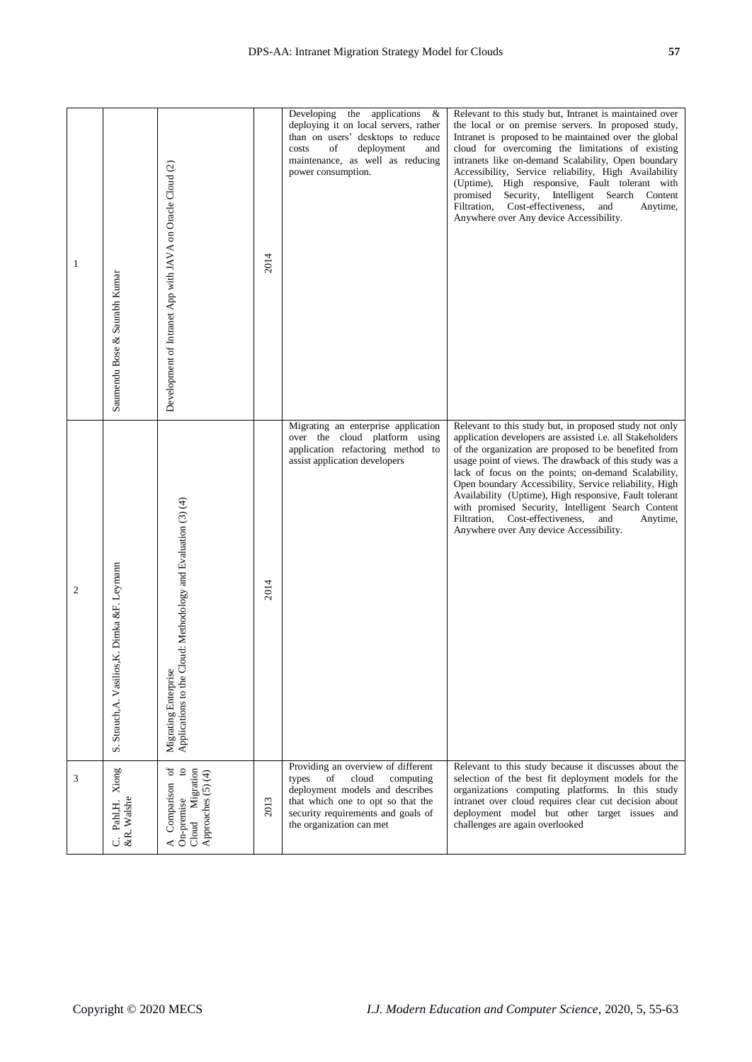| $\mathbf{1}$   | Saumendu Bose & Saurabh Kumar                 | Development of Intranet App with JAVA on Oracle Cloud (2)                             | 2014 | Developing the applications<br>- &<br>deploying it on local servers, rather<br>than on users' desktops to reduce<br>costs<br>of<br>deployment<br>and<br>maintenance, as well as reducing<br>power consumption.    | Relevant to this study but, Intranet is maintained over<br>the local or on premise servers. In proposed study,<br>Intranet is proposed to be maintained over the global<br>cloud for overcoming the limitations of existing<br>intranets like on-demand Scalability, Open boundary<br>Accessibility, Service reliability, High Availability<br>(Uptime), High responsive, Fault tolerant with<br>Security, Intelligent Search<br>promised<br>Content<br>Cost-effectiveness,<br>Filtration,<br>and<br>Anytime,<br>Anywhere over Any device Accessibility.                 |
|----------------|-----------------------------------------------|---------------------------------------------------------------------------------------|------|-------------------------------------------------------------------------------------------------------------------------------------------------------------------------------------------------------------------|--------------------------------------------------------------------------------------------------------------------------------------------------------------------------------------------------------------------------------------------------------------------------------------------------------------------------------------------------------------------------------------------------------------------------------------------------------------------------------------------------------------------------------------------------------------------------|
| $\overline{c}$ | S. Strauch, A. Vasilios, K. Dimka &F. Leymann | Applications to the Cloud: Methodology and Evaluation (3) (4)<br>Migrating Enterprise | 2014 | Migrating an enterprise application<br>over the cloud platform using<br>application refactoring method to<br>assist application developers                                                                        | Relevant to this study but, in proposed study not only<br>application developers are assisted i.e. all Stakeholders<br>of the organization are proposed to be benefited from<br>usage point of views. The drawback of this study was a<br>lack of focus on the points; on-demand Scalability,<br>Open boundary Accessibility, Service reliability, High<br>Availability (Uptime), High responsive, Fault tolerant<br>with promised Security, Intelligent Search Content<br>Filtration, Cost-effectiveness,<br>and<br>Anytime,<br>Anywhere over Any device Accessibility. |
| 3              | Xiong<br>&R. Walshe<br>Pahl,H.<br>ن           | A Comparison of<br>g<br>Migration<br>Approaches (5) (4)<br>On-premise<br>$C$ loud     | 2013 | Providing an overview of different<br>cloud<br>types<br>of<br>computing<br>deployment models and describes<br>that which one to opt so that the<br>security requirements and goals of<br>the organization can met | Relevant to this study because it discusses about the<br>selection of the best fit deployment models for the<br>organizations computing platforms. In this study<br>intranet over cloud requires clear cut decision about<br>deployment model but other target issues and<br>challenges are again overlooked                                                                                                                                                                                                                                                             |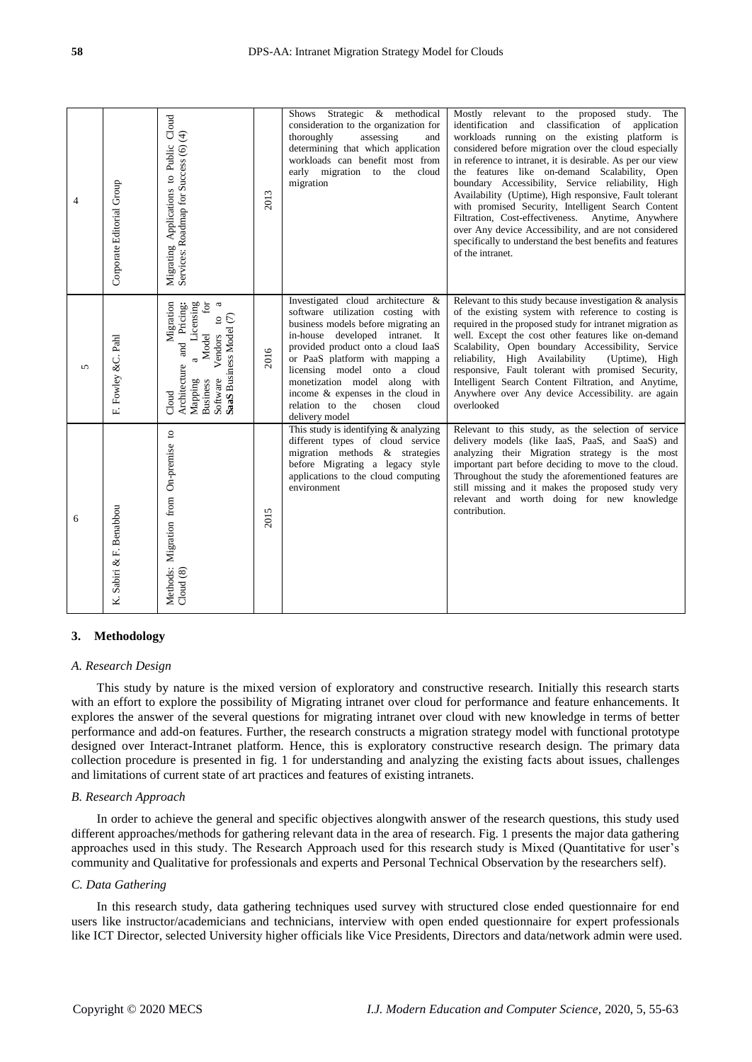| $\overline{\mathcal{A}}$ | Corporate Editorial Group | Migrating Applications to Public Cloud<br>Services: Roadmap for Success (6) (4)                                                                                                                                       | 2013 | Strategic & methodical<br>Shows<br>consideration to the organization for<br>thoroughly<br>assessing<br>and<br>determining that which application<br>workloads can benefit most from<br>early migration to the cloud<br>migration                                                                                                                                                        | Mostly relevant to the proposed study.<br>The<br>identification and classification of<br>application<br>workloads running on the existing platform is<br>considered before migration over the cloud especially<br>in reference to intranet, it is desirable. As per our view<br>the features like on-demand Scalability, Open<br>boundary Accessibility, Service reliability, High<br>Availability (Uptime), High responsive, Fault tolerant<br>with promised Security, Intelligent Search Content<br>Filtration, Cost-effectiveness. Anytime, Anywhere<br>over Any device Accessibility, and are not considered<br>specifically to understand the best benefits and features<br>of the intranet. |
|--------------------------|---------------------------|-----------------------------------------------------------------------------------------------------------------------------------------------------------------------------------------------------------------------|------|-----------------------------------------------------------------------------------------------------------------------------------------------------------------------------------------------------------------------------------------------------------------------------------------------------------------------------------------------------------------------------------------|---------------------------------------------------------------------------------------------------------------------------------------------------------------------------------------------------------------------------------------------------------------------------------------------------------------------------------------------------------------------------------------------------------------------------------------------------------------------------------------------------------------------------------------------------------------------------------------------------------------------------------------------------------------------------------------------------|
| $\sqrt{2}$               | F. Fowley &C. Pahl        | Migration<br>$\boldsymbol{\mathfrak{a}}$<br>and Pricing:<br>Licensing<br>odel for<br>Software Vendors to<br>SaaS Business Model (7)<br>Model<br>$\mathfrak{a}$<br>Architecture<br>Mapping<br><b>Business</b><br>Cloud | 2016 | Investigated cloud architecture &<br>software utilization costing with<br>business models before migrating an<br>in-house developed intranet. It<br>provided product onto a cloud IaaS<br>or PaaS platform with mapping a<br>licensing model onto a cloud<br>monetization model along with<br>income & expenses in the cloud in<br>relation to the<br>chosen<br>cloud<br>delivery model | Relevant to this study because investigation & analysis<br>of the existing system with reference to costing is<br>required in the proposed study for intranet migration as<br>well. Except the cost other features like on-demand<br>Scalability, Open boundary Accessibility, Service<br>reliability, High Availability<br>(Uptime), High<br>responsive, Fault tolerant with promised Security,<br>Intelligent Search Content Filtration, and Anytime,<br>Anywhere over Any device Accessibility. are again<br>overlooked                                                                                                                                                                        |
| 6                        | K. Sabiri & F. Benabbou   | Methods: Migration from On-premise to<br>Cloud (8)                                                                                                                                                                    | 2015 | This study is identifying $\&$ analyzing<br>different types of cloud service<br>migration methods & strategies<br>before Migrating a legacy style<br>applications to the cloud computing<br>environment                                                                                                                                                                                 | Relevant to this study, as the selection of service<br>delivery models (like IaaS, PaaS, and SaaS) and<br>analyzing their Migration strategy is the most<br>important part before deciding to move to the cloud.<br>Throughout the study the aforementioned features are<br>still missing and it makes the proposed study very<br>relevant and worth doing for new knowledge<br>contribution.                                                                                                                                                                                                                                                                                                     |

## **3. Methodology**

#### *A. Research Design*

This study by nature is the mixed version of exploratory and constructive research. Initially this research starts with an effort to explore the possibility of Migrating intranet over cloud for performance and feature enhancements. It explores the answer of the several questions for migrating intranet over cloud with new knowledge in terms of better performance and add-on features. Further, the research constructs a migration strategy model with functional prototype designed over Interact-Intranet platform. Hence, this is exploratory constructive research design. The primary data collection procedure is presented in fig. 1 for understanding and analyzing the existing facts about issues, challenges and limitations of current state of art practices and features of existing intranets.

#### *B. Research Approach*

In order to achieve the general and specific objectives alongwith answer of the research questions, this study used different approaches/methods for gathering relevant data in the area of research. Fig. 1 presents the major data gathering approaches used in this study. The Research Approach used for this research study is Mixed (Quantitative for user's community and Qualitative for professionals and experts and Personal Technical Observation by the researchers self).

#### *C. Data Gathering*

In this research study, data gathering techniques used survey with structured close ended questionnaire for end users like instructor/academicians and technicians, interview with open ended questionnaire for expert professionals like ICT Director, selected University higher officials like Vice Presidents, Directors and data/network admin were used.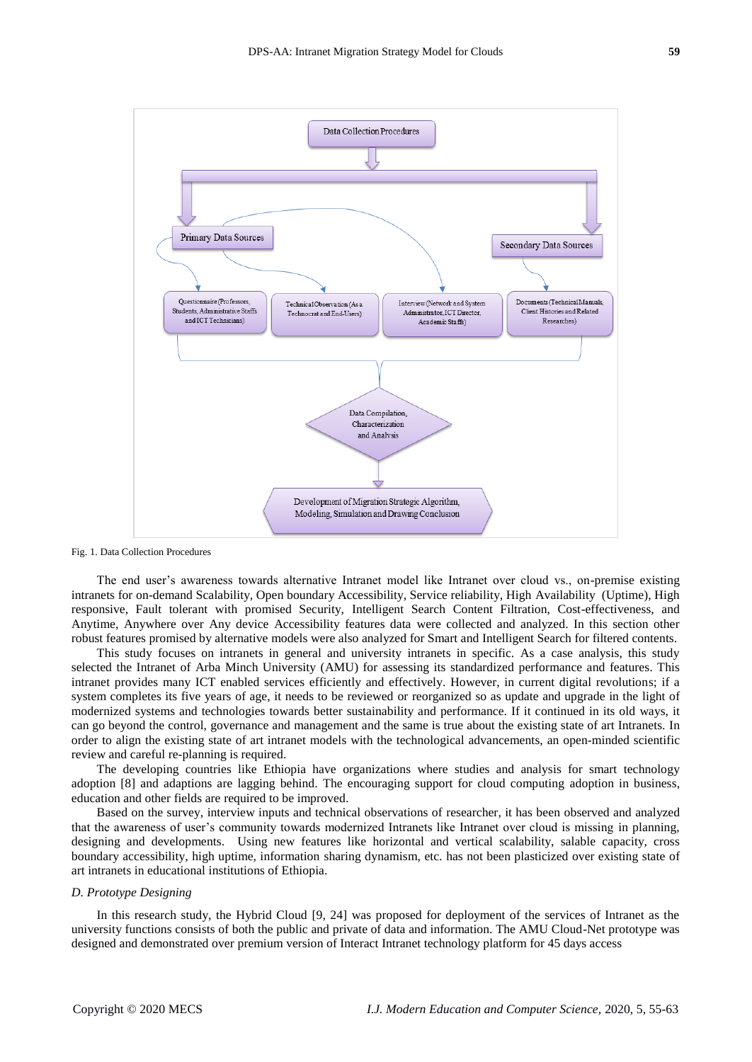

Fig. 1. Data Collection Procedures

The end user's awareness towards alternative Intranet model like Intranet over cloud vs., on-premise existing intranets for on-demand Scalability, Open boundary Accessibility, Service reliability, High Availability (Uptime), High responsive, Fault tolerant with promised Security, Intelligent Search Content Filtration, Cost-effectiveness, and Anytime, Anywhere over Any device Accessibility features data were collected and analyzed. In this section other robust features promised by alternative models were also analyzed for Smart and Intelligent Search for filtered contents.

This study focuses on intranets in general and university intranets in specific. As a case analysis, this study selected the Intranet of Arba Minch University (AMU) for assessing its standardized performance and features. This intranet provides many ICT enabled services efficiently and effectively. However, in current digital revolutions; if a system completes its five years of age, it needs to be reviewed or reorganized so as update and upgrade in the light of modernized systems and technologies towards better sustainability and performance. If it continued in its old ways, it can go beyond the control, governance and management and the same is true about the existing state of art Intranets. In order to align the existing state of art intranet models with the technological advancements, an open-minded scientific review and careful re-planning is required.

The developing countries like Ethiopia have organizations where studies and analysis for smart technology adoption [8] and adaptions are lagging behind. The encouraging support for cloud computing adoption in business, education and other fields are required to be improved.

Based on the survey, interview inputs and technical observations of researcher, it has been observed and analyzed that the awareness of user's community towards modernized Intranets like Intranet over cloud is missing in planning, designing and developments. Using new features like horizontal and vertical scalability, salable capacity, cross boundary accessibility, high uptime, information sharing dynamism, etc. has not been plasticized over existing state of art intranets in educational institutions of Ethiopia.

#### *D. Prototype Designing*

In this research study, the Hybrid Cloud [9, 24] was proposed for deployment of the services of Intranet as the university functions consists of both the public and private of data and information. The AMU Cloud-Net prototype was designed and demonstrated over premium version of Interact Intranet technology platform for 45 days access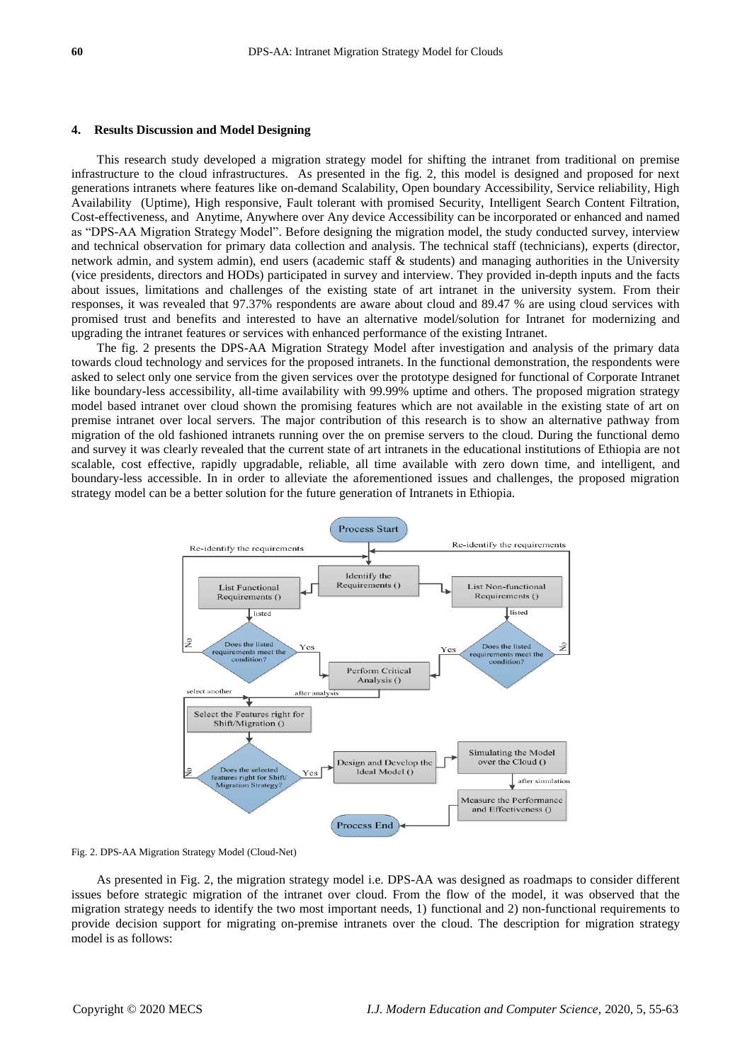#### **4. Results Discussion and Model Designing**

This research study developed a migration strategy model for shifting the intranet from traditional on premise infrastructure to the cloud infrastructures. As presented in the fig. 2, this model is designed and proposed for next generations intranets where features like on-demand Scalability, Open boundary Accessibility, Service reliability, High Availability (Uptime), High responsive, Fault tolerant with promised Security, Intelligent Search Content Filtration, Cost-effectiveness, and Anytime, Anywhere over Any device Accessibility can be incorporated or enhanced and named as "DPS-AA Migration Strategy Model". Before designing the migration model, the study conducted survey, interview and technical observation for primary data collection and analysis. The technical staff (technicians), experts (director, network admin, and system admin), end users (academic staff & students) and managing authorities in the University (vice presidents, directors and HODs) participated in survey and interview. They provided in-depth inputs and the facts about issues, limitations and challenges of the existing state of art intranet in the university system. From their responses, it was revealed that 97.37% respondents are aware about cloud and 89.47 % are using cloud services with promised trust and benefits and interested to have an alternative model/solution for Intranet for modernizing and upgrading the intranet features or services with enhanced performance of the existing Intranet.

The fig. 2 presents the DPS-AA Migration Strategy Model after investigation and analysis of the primary data towards cloud technology and services for the proposed intranets. In the functional demonstration, the respondents were asked to select only one service from the given services over the prototype designed for functional of Corporate Intranet like boundary-less accessibility, all-time availability with 99.99% uptime and others. The proposed migration strategy model based intranet over cloud shown the promising features which are not available in the existing state of art on premise intranet over local servers. The major contribution of this research is to show an alternative pathway from migration of the old fashioned intranets running over the on premise servers to the cloud. During the functional demo and survey it was clearly revealed that the current state of art intranets in the educational institutions of Ethiopia are not scalable, cost effective, rapidly upgradable, reliable, all time available with zero down time, and intelligent, and boundary-less accessible. In in order to alleviate the aforementioned issues and challenges, the proposed migration strategy model can be a better solution for the future generation of Intranets in Ethiopia.



Fig. 2. DPS-AA Migration Strategy Model (Cloud-Net)

As presented in Fig. 2, the migration strategy model i.e. DPS-AA was designed as roadmaps to consider different issues before strategic migration of the intranet over cloud. From the flow of the model, it was observed that the migration strategy needs to identify the two most important needs, 1) functional and 2) non-functional requirements to provide decision support for migrating on-premise intranets over the cloud. The description for migration strategy model is as follows: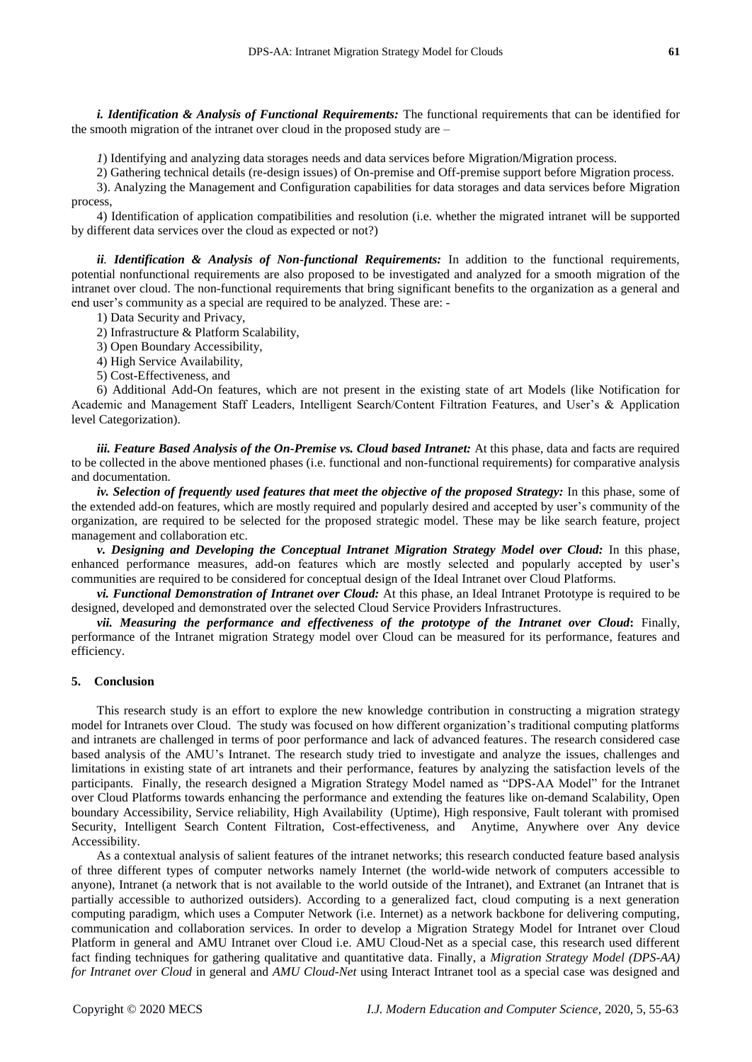*i. Identification & Analysis of Functional Requirements:* The functional requirements that can be identified for the smooth migration of the intranet over cloud in the proposed study are –

*1*) Identifying and analyzing data storages needs and data services before Migration/Migration process.

2) Gathering technical details (re-design issues) of On-premise and Off-premise support before Migration process. 3). Analyzing the Management and Configuration capabilities for data storages and data services before Migration process,

4) Identification of application compatibilities and resolution (i.e. whether the migrated intranet will be supported by different data services over the cloud as expected or not?)

*ii. Identification & Analysis of Non-functional Requirements:* In addition to the functional requirements, potential nonfunctional requirements are also proposed to be investigated and analyzed for a smooth migration of the intranet over cloud. The non-functional requirements that bring significant benefits to the organization as a general and end user's community as a special are required to be analyzed. These are: -

1) Data Security and Privacy,

2) Infrastructure & Platform Scalability,

3) Open Boundary Accessibility,

4) High Service Availability,

5) Cost-Effectiveness, and

6) Additional Add-On features, which are not present in the existing state of art Models (like Notification for Academic and Management Staff Leaders, Intelligent Search/Content Filtration Features, and User's & Application level Categorization).

*iii. Feature Based Analysis of the On-Premise vs. Cloud based Intranet:* At this phase, data and facts are required to be collected in the above mentioned phases (i.e. functional and non-functional requirements) for comparative analysis and documentation.

*iv. Selection of frequently used features that meet the objective of the proposed Strategy:* In this phase, some of the extended add-on features, which are mostly required and popularly desired and accepted by user's community of the organization, are required to be selected for the proposed strategic model. These may be like search feature, project management and collaboration etc.

*v. Designing and Developing the Conceptual Intranet Migration Strategy Model over Cloud:* In this phase, enhanced performance measures, add-on features which are mostly selected and popularly accepted by user's communities are required to be considered for conceptual design of the Ideal Intranet over Cloud Platforms.

*vi. Functional Demonstration of Intranet over Cloud:* At this phase, an Ideal Intranet Prototype is required to be designed, developed and demonstrated over the selected Cloud Service Providers Infrastructures.

*vii. Measuring the performance and effectiveness of the prototype of the Intranet over Cloud***:** Finally, performance of the Intranet migration Strategy model over Cloud can be measured for its performance, features and efficiency.

## **5. Conclusion**

This research study is an effort to explore the new knowledge contribution in constructing a migration strategy model for Intranets over Cloud. The study was focused on how different organization's traditional computing platforms and intranets are challenged in terms of poor performance and lack of advanced features. The research considered case based analysis of the AMU's Intranet. The research study tried to investigate and analyze the issues, challenges and limitations in existing state of art intranets and their performance, features by analyzing the satisfaction levels of the participants. Finally, the research designed a Migration Strategy Model named as "DPS-AA Model" for the Intranet over Cloud Platforms towards enhancing the performance and extending the features like on-demand Scalability, Open boundary Accessibility, Service reliability, High Availability (Uptime), High responsive, Fault tolerant with promised Security, Intelligent Search Content Filtration, Cost-effectiveness, and Anytime, Anywhere over Any device Accessibility.

As a contextual analysis of salient features of the intranet networks; this research conducted feature based analysis of three different types of computer networks namely Internet (the world-wide network of computers accessible to anyone), Intranet (a network that is not available to the world outside of the Intranet), and Extranet (an Intranet that is partially accessible to authorized outsiders). According to a generalized fact, cloud computing is a next generation computing paradigm, which uses a Computer Network (i.e. Internet) as a network backbone for delivering computing, communication and collaboration services. In order to develop a Migration Strategy Model for Intranet over Cloud Platform in general and AMU Intranet over Cloud i.e. AMU Cloud-Net as a special case, this research used different fact finding techniques for gathering qualitative and quantitative data. Finally, a *Migration Strategy Model (DPS-AA) for Intranet over Cloud* in general and *AMU Cloud-Net* using Interact Intranet tool as a special case was designed and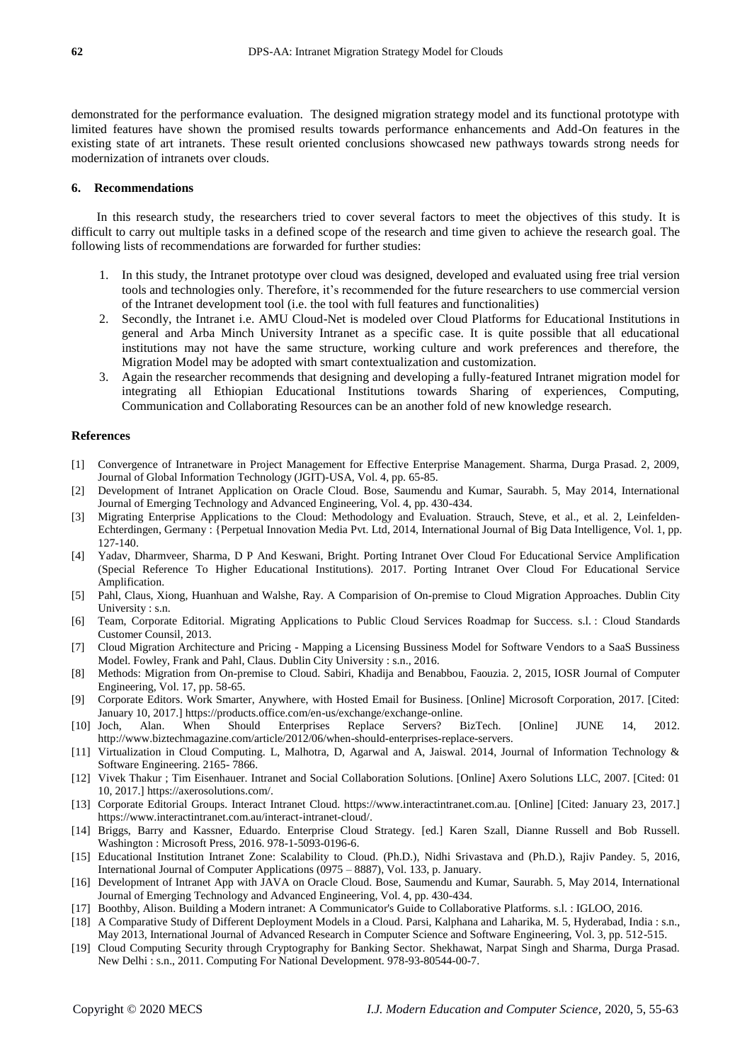demonstrated for the performance evaluation. The designed migration strategy model and its functional prototype with limited features have shown the promised results towards performance enhancements and Add-On features in the existing state of art intranets. These result oriented conclusions showcased new pathways towards strong needs for modernization of intranets over clouds.

## **6. Recommendations**

In this research study, the researchers tried to cover several factors to meet the objectives of this study. It is difficult to carry out multiple tasks in a defined scope of the research and time given to achieve the research goal. The following lists of recommendations are forwarded for further studies:

- 1. In this study, the Intranet prototype over cloud was designed, developed and evaluated using free trial version tools and technologies only. Therefore, it's recommended for the future researchers to use commercial version of the Intranet development tool (i.e. the tool with full features and functionalities)
- 2. Secondly, the Intranet i.e. AMU Cloud-Net is modeled over Cloud Platforms for Educational Institutions in general and Arba Minch University Intranet as a specific case. It is quite possible that all educational institutions may not have the same structure, working culture and work preferences and therefore, the Migration Model may be adopted with smart contextualization and customization.
- 3. Again the researcher recommends that designing and developing a fully-featured Intranet migration model for integrating all Ethiopian Educational Institutions towards Sharing of experiences, Computing, Communication and Collaborating Resources can be an another fold of new knowledge research.

#### **References**

- [1] Convergence of Intranetware in Project Management for Effective Enterprise Management. Sharma, Durga Prasad. 2, 2009, Journal of Global Information Technology (JGIT)-USA, Vol. 4, pp. 65-85.
- [2] Development of Intranet Application on Oracle Cloud. Bose, Saumendu and Kumar, Saurabh. 5, May 2014, International Journal of Emerging Technology and Advanced Engineering, Vol. 4, pp. 430-434.
- [3] Migrating Enterprise Applications to the Cloud: Methodology and Evaluation. Strauch, Steve, et al., et al. 2, Leinfelden-Echterdingen, Germany : {Perpetual Innovation Media Pvt. Ltd, 2014, International Journal of Big Data Intelligence, Vol. 1, pp. 127-140.
- [4] Yadav, Dharmveer, Sharma, D P And Keswani, Bright. Porting Intranet Over Cloud For Educational Service Amplification (Special Reference To Higher Educational Institutions). 2017. Porting Intranet Over Cloud For Educational Service Amplification.
- [5] Pahl, Claus, Xiong, Huanhuan and Walshe, Ray. A Comparision of On-premise to Cloud Migration Approaches. Dublin City University : s.n.
- [6] Team, Corporate Editorial. Migrating Applications to Public Cloud Services Roadmap for Success. s.l. : Cloud Standards Customer Counsil, 2013.
- [7] Cloud Migration Architecture and Pricing Mapping a Licensing Bussiness Model for Software Vendors to a SaaS Bussiness Model. Fowley, Frank and Pahl, Claus. Dublin City University : s.n., 2016.
- [8] Methods: Migration from On-premise to Cloud. Sabiri, Khadija and Benabbou, Faouzia. 2, 2015, IOSR Journal of Computer Engineering, Vol. 17, pp. 58-65.
- [9] Corporate Editors. Work Smarter, Anywhere, with Hosted Email for Business. [Online] Microsoft Corporation, 2017. [Cited: January 10, 2017.] https://products.office.com/en-us/exchange/exchange-online.
- [10] Joch, Alan. When Should Enterprises Replace Servers? BizTech. [Online] JUNE 14, 2012. http://www.biztechmagazine.com/article/2012/06/when-should-enterprises-replace-servers.
- [11] Virtualization in Cloud Computing. L, Malhotra, D, Agarwal and A, Jaiswal. 2014, Journal of Information Technology & Software Engineering. 2165- 7866.
- [12] Vivek Thakur ; Tim Eisenhauer. Intranet and Social Collaboration Solutions. [Online] Axero Solutions LLC, 2007. [Cited: 01 10, 2017.] https://axerosolutions.com/.
- [13] Corporate Editorial Groups. Interact Intranet Cloud. https://www.interactintranet.com.au. [Online] [Cited: January 23, 2017.] https://www.interactintranet.com.au/interact-intranet-cloud/.
- [14] Briggs, Barry and Kassner, Eduardo. Enterprise Cloud Strategy. [ed.] Karen Szall, Dianne Russell and Bob Russell. Washington : Microsoft Press, 2016. 978-1-5093-0196-6.
- [15] Educational Institution Intranet Zone: Scalability to Cloud. (Ph.D.), Nidhi Srivastava and (Ph.D.), Rajiv Pandey. 5, 2016, International Journal of Computer Applications (0975 – 8887), Vol. 133, p. January.
- [16] Development of Intranet App with JAVA on Oracle Cloud. Bose, Saumendu and Kumar, Saurabh. 5, May 2014, International Journal of Emerging Technology and Advanced Engineering, Vol. 4, pp. 430-434.
- [17] Boothby, Alison. Building a Modern intranet: A Communicator's Guide to Collaborative Platforms. s.l. : IGLOO, 2016.
- [18] A Comparative Study of Different Deployment Models in a Cloud. Parsi, Kalphana and Laharika, M. 5, Hyderabad, India : s.n., May 2013, International Journal of Advanced Research in Computer Science and Software Engineering, Vol. 3, pp. 512-515.
- [19] Cloud Computing Security through Cryptography for Banking Sector. Shekhawat, Narpat Singh and Sharma, Durga Prasad. New Delhi : s.n., 2011. Computing For National Development. 978-93-80544-00-7.